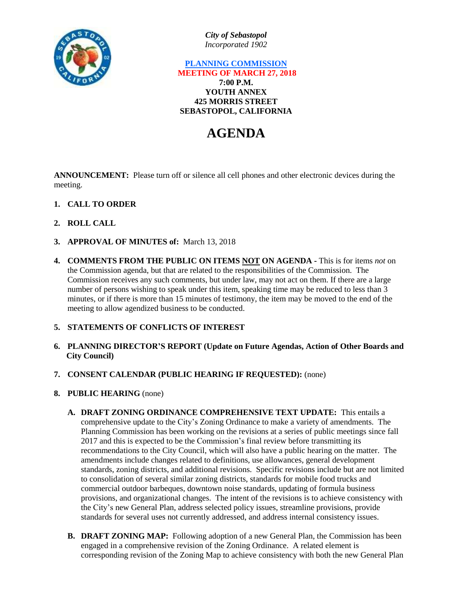

*City of Sebastopol Incorporated 1902*

## **PLANNING COMMISSION MEETING OF MARCH 27, 2018 7:00 P.M. YOUTH ANNEX 425 MORRIS STREET SEBASTOPOL, CALIFORNIA**

# **AGENDA**

**ANNOUNCEMENT:** Please turn off or silence all cell phones and other electronic devices during the meeting.

- **1. CALL TO ORDER**
- **2. ROLL CALL**
- **3. APPROVAL OF MINUTES of:** March 13, 2018
- **4. COMMENTS FROM THE PUBLIC ON ITEMS NOT ON AGENDA -** This is for items *not* on the Commission agenda, but that are related to the responsibilities of the Commission. The Commission receives any such comments, but under law, may not act on them. If there are a large number of persons wishing to speak under this item, speaking time may be reduced to less than 3 minutes, or if there is more than 15 minutes of testimony, the item may be moved to the end of the meeting to allow agendized business to be conducted.

## **5. STATEMENTS OF CONFLICTS OF INTEREST**

- **6. PLANNING DIRECTOR'S REPORT (Update on Future Agendas, Action of Other Boards and City Council)**
- **7. CONSENT CALENDAR (PUBLIC HEARING IF REQUESTED):** (none)
- **8. PUBLIC HEARING** (none)
	- **A. DRAFT ZONING ORDINANCE COMPREHENSIVE TEXT UPDATE:** This entails a comprehensive update to the City's Zoning Ordinance to make a variety of amendments. The Planning Commission has been working on the revisions at a series of public meetings since fall 2017 and this is expected to be the Commission's final review before transmitting its recommendations to the City Council, which will also have a public hearing on the matter. The amendments include changes related to definitions, use allowances, general development standards, zoning districts, and additional revisions. Specific revisions include but are not limited to consolidation of several similar zoning districts, standards for mobile food trucks and commercial outdoor barbeques, downtown noise standards, updating of formula business provisions, and organizational changes. The intent of the revisions is to achieve consistency with the City's new General Plan, address selected policy issues, streamline provisions, provide standards for several uses not currently addressed, and address internal consistency issues.
	- **B. DRAFT ZONING MAP:** Following adoption of a new General Plan, the Commission has been engaged in a comprehensive revision of the Zoning Ordinance. A related element is corresponding revision of the Zoning Map to achieve consistency with both the new General Plan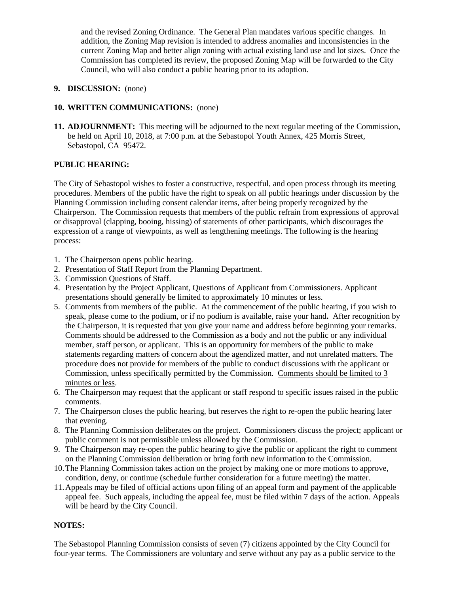and the revised Zoning Ordinance. The General Plan mandates various specific changes. In addition, the Zoning Map revision is intended to address anomalies and inconsistencies in the current Zoning Map and better align zoning with actual existing land use and lot sizes. Once the Commission has completed its review, the proposed Zoning Map will be forwarded to the City Council, who will also conduct a public hearing prior to its adoption.

### **9. DISCUSSION:** (none)

### **10. WRITTEN COMMUNICATIONS:** (none)

**11. ADJOURNMENT:** This meeting will be adjourned to the next regular meeting of the Commission, be held on April 10, 2018, at 7:00 p.m. at the Sebastopol Youth Annex, 425 Morris Street, Sebastopol, CA 95472.

#### **PUBLIC HEARING:**

The City of Sebastopol wishes to foster a constructive, respectful, and open process through its meeting procedures. Members of the public have the right to speak on all public hearings under discussion by the Planning Commission including consent calendar items, after being properly recognized by the Chairperson. The Commission requests that members of the public refrain from expressions of approval or disapproval (clapping, booing, hissing) of statements of other participants, which discourages the expression of a range of viewpoints, as well as lengthening meetings. The following is the hearing process:

- 1. The Chairperson opens public hearing.
- 2. Presentation of Staff Report from the Planning Department.
- 3. Commission Questions of Staff.
- 4. Presentation by the Project Applicant, Questions of Applicant from Commissioners. Applicant presentations should generally be limited to approximately 10 minutes or less.
- 5. Comments from members of the public. At the commencement of the public hearing, if you wish to speak, please come to the podium, or if no podium is available, raise your hand**.** After recognition by the Chairperson, it is requested that you give your name and address before beginning your remarks. Comments should be addressed to the Commission as a body and not the public or any individual member, staff person, or applicant. This is an opportunity for members of the public to make statements regarding matters of concern about the agendized matter, and not unrelated matters. The procedure does not provide for members of the public to conduct discussions with the applicant or Commission, unless specifically permitted by the Commission. Comments should be limited to 3 minutes or less.
- 6. The Chairperson may request that the applicant or staff respond to specific issues raised in the public comments.
- 7. The Chairperson closes the public hearing, but reserves the right to re-open the public hearing later that evening.
- 8. The Planning Commission deliberates on the project. Commissioners discuss the project; applicant or public comment is not permissible unless allowed by the Commission.
- 9. The Chairperson may re-open the public hearing to give the public or applicant the right to comment on the Planning Commission deliberation or bring forth new information to the Commission.
- 10.The Planning Commission takes action on the project by making one or more motions to approve, condition, deny, or continue (schedule further consideration for a future meeting) the matter.
- 11.Appeals may be filed of official actions upon filing of an appeal form and payment of the applicable appeal fee. Such appeals, including the appeal fee, must be filed within 7 days of the action. Appeals will be heard by the City Council.

#### **NOTES:**

The Sebastopol Planning Commission consists of seven (7) citizens appointed by the City Council for four-year terms. The Commissioners are voluntary and serve without any pay as a public service to the